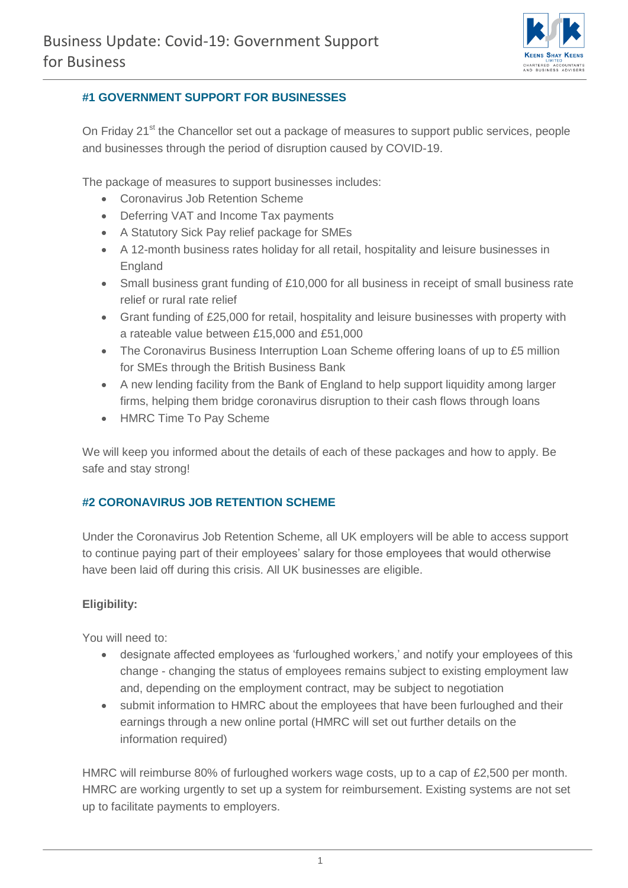

## **#1 GOVERNMENT SUPPORT FOR BUSINESSES**

On Friday 21<sup>st</sup> the Chancellor set out a package of measures to support public services, people and businesses through the period of disruption caused by COVID-19.

The package of measures to support businesses includes:

- Coronavirus Job Retention Scheme
- Deferring VAT and Income Tax payments
- A Statutory Sick Pay relief package for SMEs
- A 12-month business rates holiday for all retail, hospitality and leisure businesses in England
- Small business grant funding of £10,000 for all business in receipt of small business rate relief or rural rate relief
- Grant funding of £25,000 for retail, hospitality and leisure businesses with property with a rateable value between £15,000 and £51,000
- The Coronavirus Business Interruption Loan Scheme offering loans of up to £5 million for SMEs through the British Business Bank
- A new lending facility from the Bank of England to help support liquidity among larger firms, helping them bridge coronavirus disruption to their cash flows through loans
- HMRC Time To Pay Scheme

We will keep you informed about the details of each of these packages and how to apply. Be safe and stay strong!

## **#2 CORONAVIRUS JOB RETENTION SCHEME**

Under the Coronavirus Job Retention Scheme, all UK employers will be able to access support to continue paying part of their employees' salary for those employees that would otherwise have been laid off during this crisis. All UK businesses are eligible.

## **Eligibility:**

You will need to:

- designate affected employees as 'furloughed workers,' and notify your employees of this change - changing the status of employees remains subject to existing employment law and, depending on the employment contract, may be subject to negotiation
- submit information to HMRC about the employees that have been furloughed and their earnings through a new online portal (HMRC will set out further details on the information required)

HMRC will reimburse 80% of furloughed workers wage costs, up to a cap of £2,500 per month. HMRC are working urgently to set up a system for reimbursement. Existing systems are not set up to facilitate payments to employers.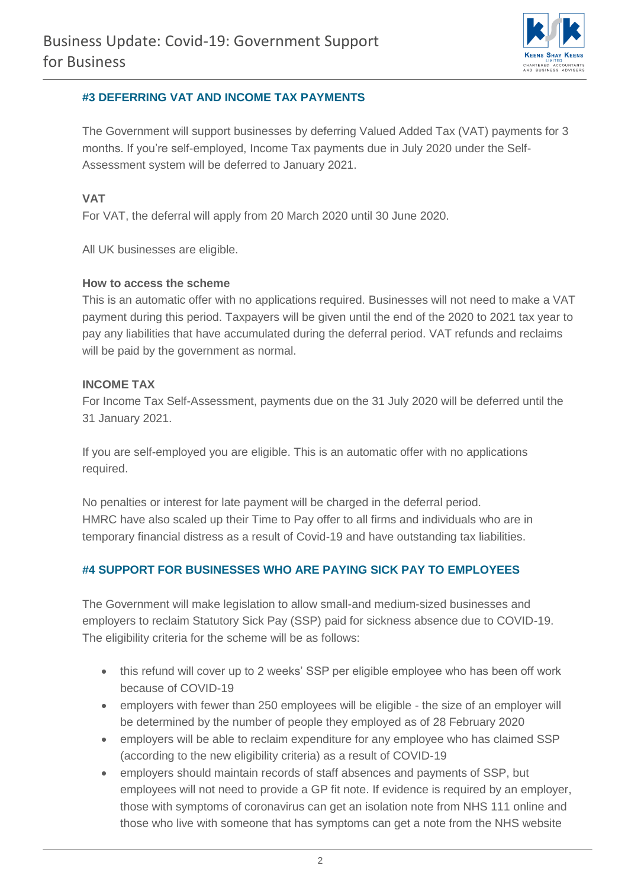

#### **#3 DEFERRING VAT AND INCOME TAX PAYMENTS**

The Government will support businesses by deferring Valued Added Tax (VAT) payments for 3 months. If you're self-employed, Income Tax payments due in July 2020 under the Self-Assessment system will be deferred to January 2021.

## **VAT**

For VAT, the deferral will apply from 20 March 2020 until 30 June 2020.

All UK businesses are eligible.

#### **How to access the scheme**

This is an automatic offer with no applications required. Businesses will not need to make a VAT payment during this period. Taxpayers will be given until the end of the 2020 to 2021 tax year to pay any liabilities that have accumulated during the deferral period. VAT refunds and reclaims will be paid by the government as normal.

#### **INCOME TAX**

For Income Tax Self-Assessment, payments due on the 31 July 2020 will be deferred until the 31 January 2021.

If you are self-employed you are eligible. This is an automatic offer with no applications required.

No penalties or interest for late payment will be charged in the deferral period. HMRC have also scaled up their Time to Pay offer to all firms and individuals who are in temporary financial distress as a result of Covid-19 and have outstanding tax liabilities.

## **#4 SUPPORT FOR BUSINESSES WHO ARE PAYING SICK PAY TO EMPLOYEES**

The Government will make legislation to allow small-and medium-sized businesses and employers to reclaim Statutory Sick Pay (SSP) paid for sickness absence due to COVID-19. The eligibility criteria for the scheme will be as follows:

- this refund will cover up to 2 weeks' SSP per eligible employee who has been off work because of COVID-19
- employers with fewer than 250 employees will be eligible the size of an employer will be determined by the number of people they employed as of 28 February 2020
- employers will be able to reclaim expenditure for any employee who has claimed SSP (according to the new eligibility criteria) as a result of COVID-19
- employers should maintain records of staff absences and payments of SSP, but employees will not need to provide a GP fit note. If evidence is required by an employer, those with symptoms of coronavirus can get an isolation note from NHS 111 online and those who live with someone that has symptoms can get a note from the NHS website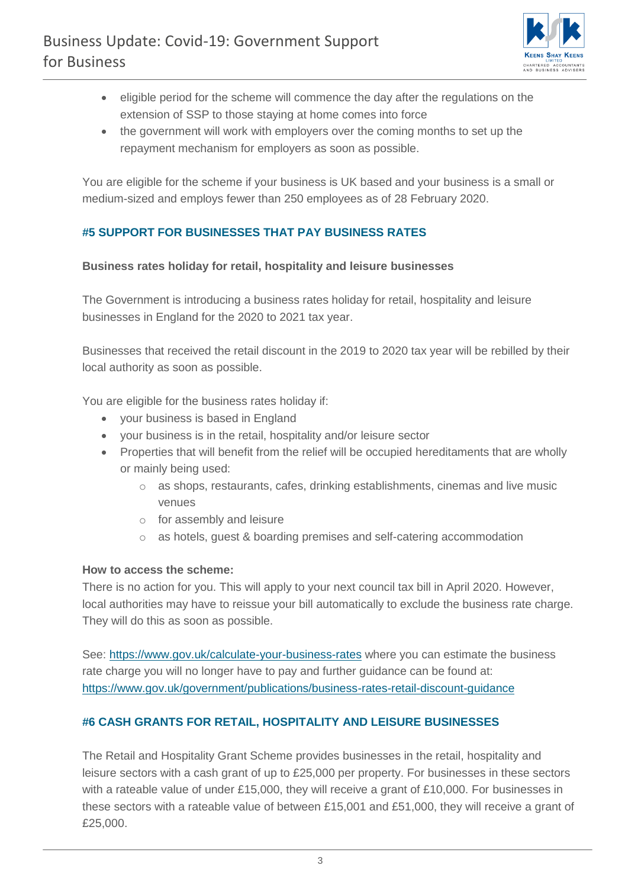

- eligible period for the scheme will commence the day after the regulations on the extension of SSP to those staying at home comes into force
- the government will work with employers over the coming months to set up the repayment mechanism for employers as soon as possible.

You are eligible for the scheme if your business is UK based and your business is a small or medium-sized and employs fewer than 250 employees as of 28 February 2020.

# **#5 SUPPORT FOR BUSINESSES THAT PAY BUSINESS RATES**

#### **Business rates holiday for retail, hospitality and leisure businesses**

The Government is introducing a business rates holiday for retail, hospitality and leisure businesses in England for the 2020 to 2021 tax year.

Businesses that received the retail discount in the 2019 to 2020 tax year will be rebilled by their local authority as soon as possible.

You are eligible for the business rates holiday if:

- your business is based in England
- your business is in the retail, hospitality and/or leisure sector
- Properties that will benefit from the relief will be occupied hereditaments that are wholly or mainly being used:
	- o as shops, restaurants, cafes, drinking establishments, cinemas and live music venues
	- o for assembly and leisure
	- o as hotels, guest & boarding premises and self-catering accommodation

## **How to access the scheme:**

There is no action for you. This will apply to your next council tax bill in April 2020. However, local authorities may have to reissue your bill automatically to exclude the business rate charge. They will do this as soon as possible.

See:<https://www.gov.uk/calculate-your-business-rates> where you can estimate the business rate charge you will no longer have to pay and further guidance can be found at: <https://www.gov.uk/government/publications/business-rates-retail-discount-guidance>

## **#6 CASH GRANTS FOR RETAIL, HOSPITALITY AND LEISURE BUSINESSES**

The Retail and Hospitality Grant Scheme provides businesses in the retail, hospitality and leisure sectors with a cash grant of up to £25,000 per property. For businesses in these sectors with a rateable value of under £15,000, they will receive a grant of £10,000. For businesses in these sectors with a rateable value of between £15,001 and £51,000, they will receive a grant of £25,000.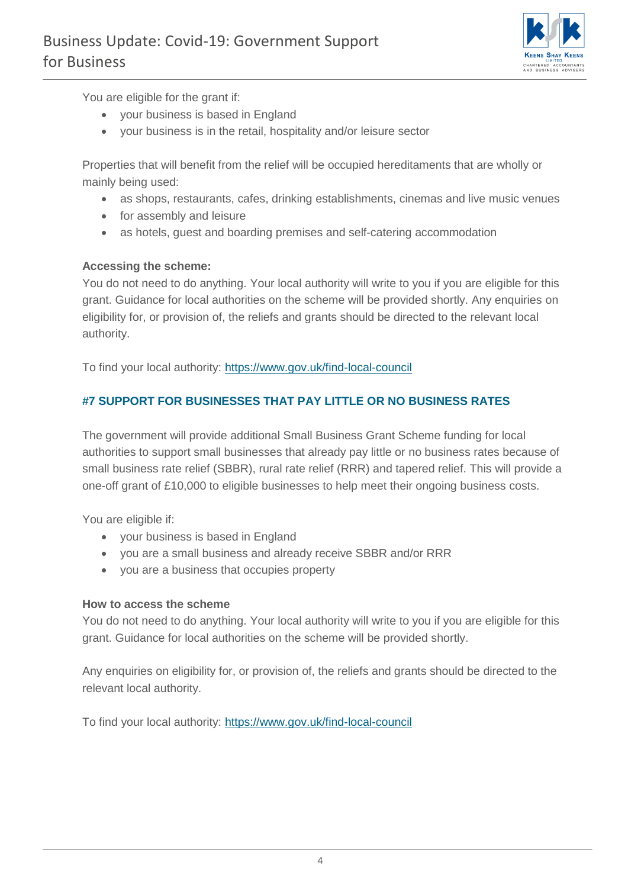

You are eligible for the grant if:

- your business is based in England
- your business is in the retail, hospitality and/or leisure sector

Properties that will benefit from the relief will be occupied hereditaments that are wholly or mainly being used:

- as shops, restaurants, cafes, drinking establishments, cinemas and live music venues
- for assembly and leisure
- as hotels, guest and boarding premises and self-catering accommodation

#### **Accessing the scheme:**

You do not need to do anything. Your local authority will write to you if you are eligible for this grant. Guidance for local authorities on the scheme will be provided shortly. Any enquiries on eligibility for, or provision of, the reliefs and grants should be directed to the relevant local authority.

To find your local authority:<https://www.gov.uk/find-local-council>

## **#7 SUPPORT FOR BUSINESSES THAT PAY LITTLE OR NO BUSINESS RATES**

The government will provide additional Small Business Grant Scheme funding for local authorities to support small businesses that already pay little or no business rates because of small business rate relief (SBBR), rural rate relief (RRR) and tapered relief. This will provide a one-off grant of £10,000 to eligible businesses to help meet their ongoing business costs.

You are eligible if:

- your business is based in England
- you are a small business and already receive SBBR and/or RRR
- you are a business that occupies property

#### **How to access the scheme**

You do not need to do anything. Your local authority will write to you if you are eligible for this grant. Guidance for local authorities on the scheme will be provided shortly.

Any enquiries on eligibility for, or provision of, the reliefs and grants should be directed to the relevant local authority.

To find your local authority:<https://www.gov.uk/find-local-council>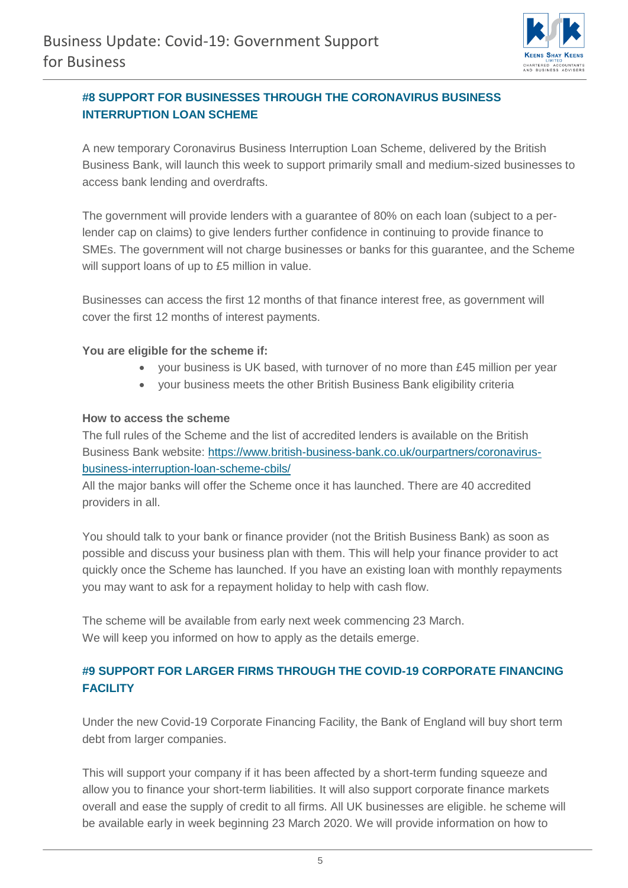

# **#8 SUPPORT FOR BUSINESSES THROUGH THE CORONAVIRUS BUSINESS INTERRUPTION LOAN SCHEME**

A new temporary Coronavirus Business Interruption Loan Scheme, delivered by the British Business Bank, will launch this week to support primarily small and medium-sized businesses to access bank lending and overdrafts.

The government will provide lenders with a guarantee of 80% on each loan (subject to a perlender cap on claims) to give lenders further confidence in continuing to provide finance to SMEs. The government will not charge businesses or banks for this guarantee, and the Scheme will support loans of up to £5 million in value.

Businesses can access the first 12 months of that finance interest free, as government will cover the first 12 months of interest payments.

#### **You are eligible for the scheme if:**

- your business is UK based, with turnover of no more than £45 million per year
- your business meets the other British Business Bank eligibility criteria

#### **How to access the scheme**

The full rules of the Scheme and the list of accredited lenders is available on the British Business Bank website: [https://www.british-business-bank.co.uk/ourpartners/coronavirus](https://www.british-business-bank.co.uk/ourpartners/coronavirus-business-interruption-loan-scheme-cbils/)[business-interruption-loan-scheme-cbils/](https://www.british-business-bank.co.uk/ourpartners/coronavirus-business-interruption-loan-scheme-cbils/)

All the major banks will offer the Scheme once it has launched. There are 40 accredited providers in all.

You should talk to your bank or finance provider (not the British Business Bank) as soon as possible and discuss your business plan with them. This will help your finance provider to act quickly once the Scheme has launched. If you have an existing loan with monthly repayments you may want to ask for a repayment holiday to help with cash flow.

The scheme will be available from early next week commencing 23 March. We will keep you informed on how to apply as the details emerge.

# **#9 SUPPORT FOR LARGER FIRMS THROUGH THE COVID-19 CORPORATE FINANCING FACILITY**

Under the new Covid-19 Corporate Financing Facility, the Bank of England will buy short term debt from larger companies.

This will support your company if it has been affected by a short-term funding squeeze and allow you to finance your short-term liabilities. It will also support corporate finance markets overall and ease the supply of credit to all firms. All UK businesses are eligible. he scheme will be available early in week beginning 23 March 2020. We will provide information on how to